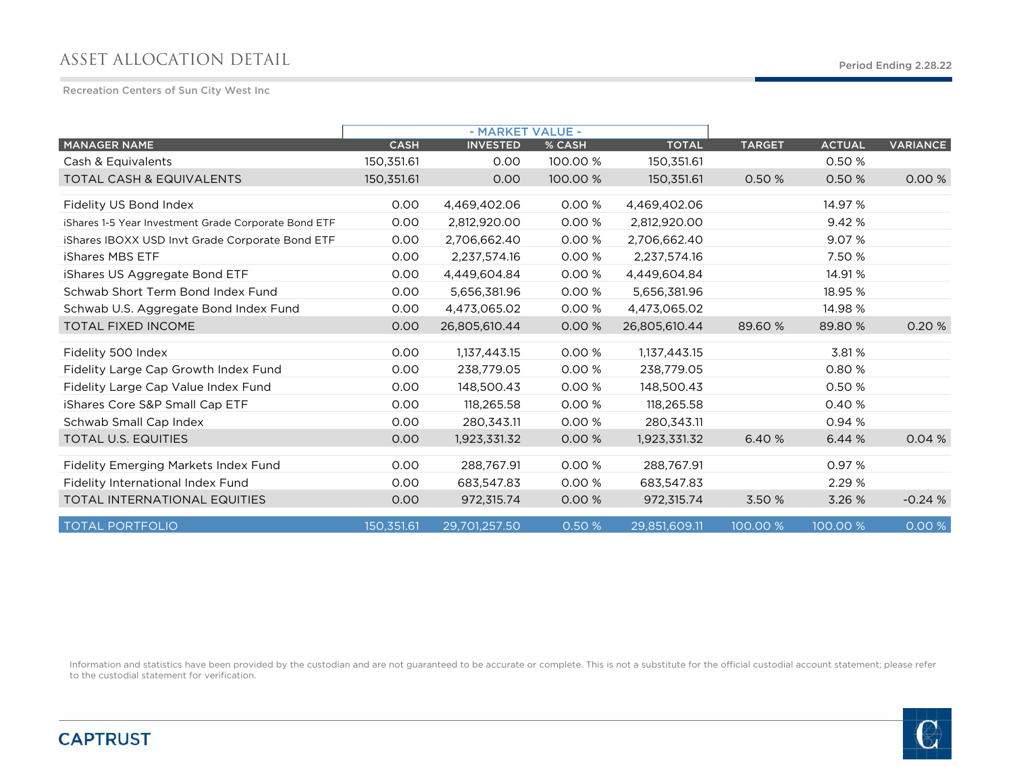## ASSET ALLOCATION DETAIL

Recreation Centers of Sun City West Inc

|                                                      |             | - MARKET VALUE - |          |               |               |               |                 |
|------------------------------------------------------|-------------|------------------|----------|---------------|---------------|---------------|-----------------|
| <b>MANAGER NAME</b>                                  | <b>CASH</b> | <b>INVESTED</b>  | % CASH   | <b>TOTAL</b>  | <b>TARGET</b> | <b>ACTUAL</b> | <b>VARIANCE</b> |
| Cash & Equivalents                                   | 150,351.61  | 0.00             | 100.00 % | 150,351.61    |               | 0.50 %        |                 |
| <b>TOTAL CASH &amp; EQUIVALENTS</b>                  | 150,351.61  | 0.00             | 100.00 % | 150,351.61    | 0.50 %        | 0.50 %        | 0.00%           |
| Fidelity US Bond Index                               | 0.00        | 4,469,402.06     | 0.00 %   | 4,469,402.06  |               | 14.97 %       |                 |
| iShares 1-5 Year Investment Grade Corporate Bond ETF | 0.00        | 2,812,920.00     | 0.00 %   | 2,812,920.00  |               | 9.42 %        |                 |
| iShares IBOXX USD Invt Grade Corporate Bond ETF      | 0.00        | 2,706,662.40     | 0.00%    | 2,706,662.40  |               | 9.07 %        |                 |
| iShares MBS ETF                                      | 0.00        | 2,237,574.16     | 0.00%    | 2,237,574.16  |               | 7.50 %        |                 |
| iShares US Aggregate Bond ETF                        | 0.00        | 4,449,604.84     | 0.00%    | 4,449,604.84  |               | 14.91 %       |                 |
| Schwab Short Term Bond Index Fund                    | 0.00        | 5,656,381.96     | 0.00%    | 5,656,381.96  |               | 18.95 %       |                 |
| Schwab U.S. Aggregate Bond Index Fund                | 0.00        | 4.473.065.02     | 0.00%    | 4.473.065.02  |               | 14.98 %       |                 |
| <b>TOTAL FIXED INCOME</b>                            | 0.00        | 26,805,610.44    | 0.00 %   | 26,805,610.44 | 89.60 %       | 89.80 %       | 0.20%           |
| Fidelity 500 Index                                   | 0.00        | 1,137,443.15     | 0.00 %   | 1,137,443.15  |               | 3.81%         |                 |
| Fidelity Large Cap Growth Index Fund                 | 0.00        | 238,779.05       | 0.00%    | 238,779.05    |               | 0.80 %        |                 |
| Fidelity Large Cap Value Index Fund                  | 0.00        | 148,500.43       | 0.00 %   | 148,500.43    |               | 0.50 %        |                 |
| iShares Core S&P Small Cap ETF                       | 0.00        | 118,265.58       | 0.00 %   | 118,265.58    |               | 0.40 %        |                 |
| Schwab Small Cap Index                               | 0.00        | 280,343.11       | 0.00%    | 280,343.11    |               | 0.94%         |                 |
| <b>TOTAL U.S. EQUITIES</b>                           | 0.00        | 1,923,331.32     | 0.00 %   | 1,923,331.32  | 6.40 %        | 6.44 %        | 0.04%           |
| Fidelity Emerging Markets Index Fund                 | 0.00        | 288,767.91       | 0.00%    | 288.767.91    |               | 0.97%         |                 |
| Fidelity International Index Fund                    | 0.00        | 683,547.83       | 0.00%    | 683.547.83    |               | 2.29%         |                 |
| <b>TOTAL INTERNATIONAL EQUITIES</b>                  | 0.00        | 972,315.74       | 0.00%    | 972,315.74    | 3.50 %        | 3.26%         | $-0.24%$        |
| <b>TOTAL PORTFOLIO</b>                               | 150.351.61  | 29,701,257.50    | 0.50 %   | 29,851,609.11 | 100.00 %      | 100.00 %      | 0.00 %          |

Information and statistics have been provided by the custodian and are not guaranteed to be accurate or complete. This is not a substitute for the official custodial account statement; please refer to the custodial statement for verification.

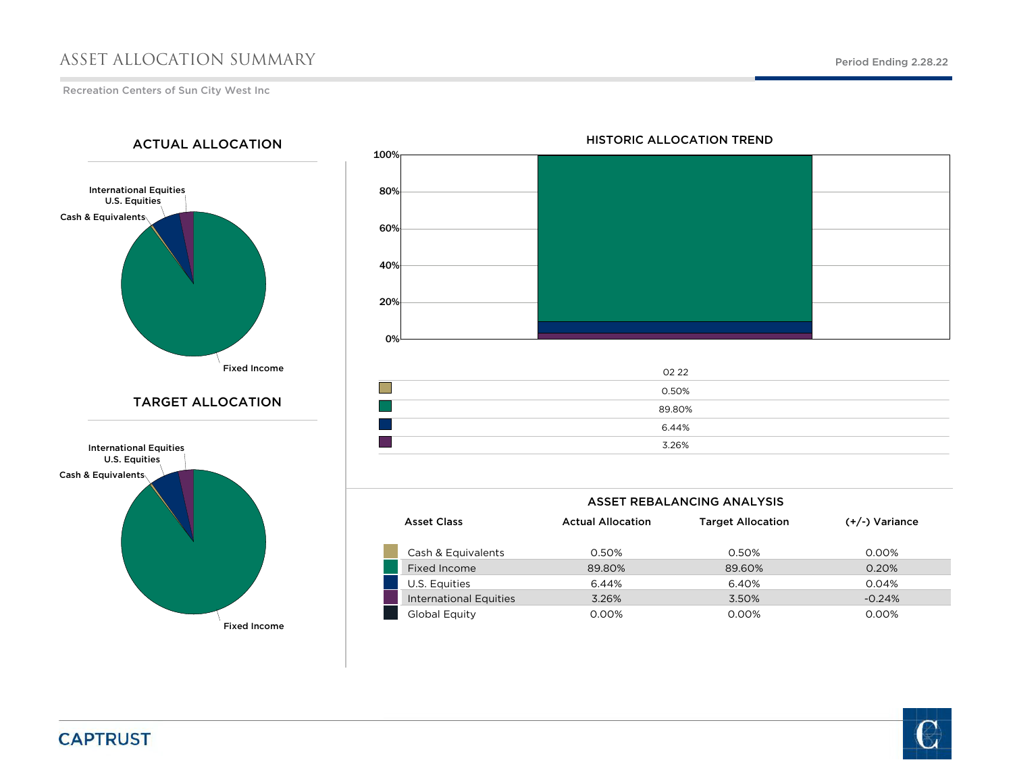## ASSET ALLOCATION SUMMARY

Recreation Centers of Sun City West Inc

International Equities U.S. Equities Cash & Equivalents Fixed Income International Equities U.S. Equities Cash & Equivalents TARGET ALLOCATIONACTUAL ALLOCATION

Fixed Income



## HISTORIC ALLOCATION TREND

| 02 22  |
|--------|
| 0.50%  |
| 89.80% |
| 6.44%  |
| 3.26%  |
|        |

| <b>ASSET REBALANCING ANALYSIS</b> |                          |                          |                  |  |  |  |  |  |  |  |
|-----------------------------------|--------------------------|--------------------------|------------------|--|--|--|--|--|--|--|
| <b>Asset Class</b>                | <b>Actual Allocation</b> | <b>Target Allocation</b> | $(+/-)$ Variance |  |  |  |  |  |  |  |
|                                   |                          |                          |                  |  |  |  |  |  |  |  |
| Cash & Equivalents                | 0.50%                    | 0.50%                    | 0.00%            |  |  |  |  |  |  |  |
| Fixed Income                      | 89.80%                   | 89.60%                   | 0.20%            |  |  |  |  |  |  |  |
| U.S. Equities                     | 6.44%                    | 6.40%                    | 0.04%            |  |  |  |  |  |  |  |
| International Equities            | 3.26%                    | 3.50%                    | $-0.24%$         |  |  |  |  |  |  |  |
| Global Equity                     | 0.00%                    | 0.00%                    | 0.00%            |  |  |  |  |  |  |  |



**CAPTRUST**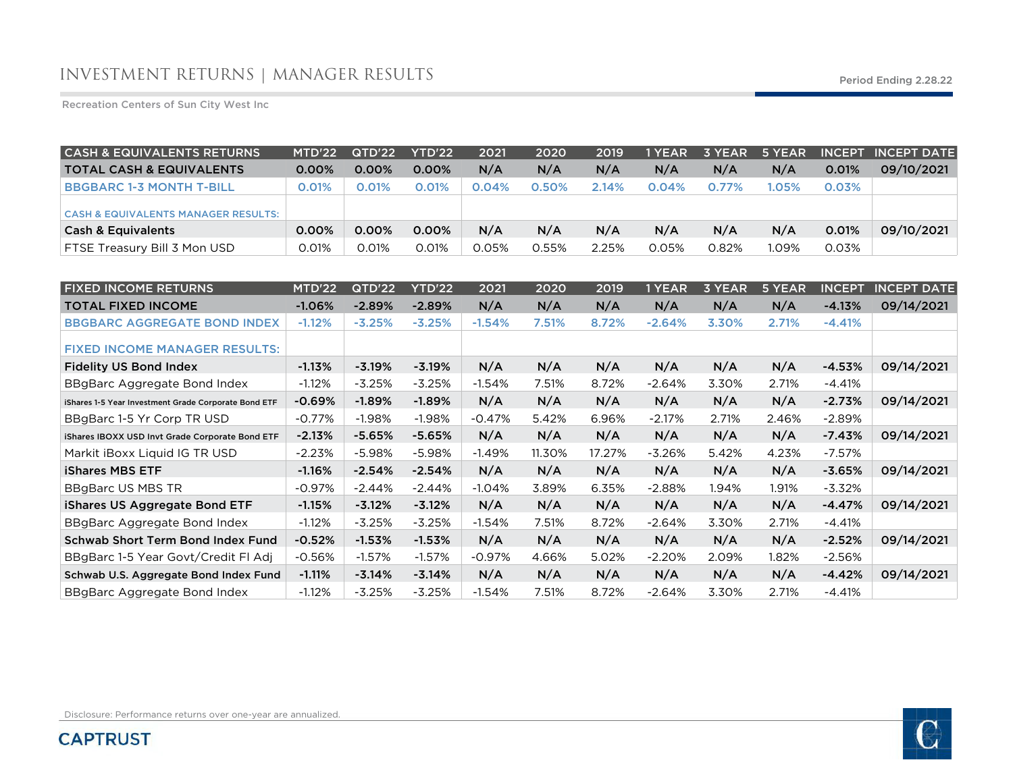Recreation Centers of Sun City West Inc

| <b>CASH &amp; EQUIVALENTS RETURNS</b>          | MTD'22   | QTD'22   | <b>YTD'22</b> | 2021     | 2020  | 2019  | 1 YEAR | 3 YEAR | 5 YEAR |          | <b>INCEPT INCEPT DATE</b> |
|------------------------------------------------|----------|----------|---------------|----------|-------|-------|--------|--------|--------|----------|---------------------------|
| <b>TOTAL CASH &amp; EQUIVALENTS</b>            | $0.00\%$ | $0.00\%$ | $0.00\%$      | N/A      | N/A   | N/A   | N/A    | N/A    | N/A    | 0.01%    | 09/10/2021                |
| <b>BBGBARC 1-3 MONTH T-BILL</b>                | 0.01%    | 0.01%    | 0.01%         | $0.04\%$ | 0.50% | 2.14% | 0.04%  | 0.77%  | 1.05%  | $0.03\%$ |                           |
| <b>CASH &amp; EQUIVALENTS MANAGER RESULTS:</b> |          |          |               |          |       |       |        |        |        |          |                           |
| <b>Cash &amp; Equivalents</b>                  | 0.00%    | 0.00%    | $0.00\%$      | N/A      | N/A   | N/A   | N/A    | N/A    | N/A    | 0.01%    | 09/10/2021                |
| FTSE Treasury Bill 3 Mon USD                   | 0.01%    | 0.01%    | 0.01%         | 0.05%    | 0.55% | 2.25% | 0.05%  | 0.82%  | 1.09%  | 0.03%    |                           |

| <b>FIXED INCOME RETURNS</b>                          | MTD'22   | QTD'22   | YTD'22   | 2021     | 2020   | 2019   | 1 YEAR   | <b>3 YEAR</b> | 5 YEAR | <b>INCEPT</b> | <b>INCEPT DATE</b> |
|------------------------------------------------------|----------|----------|----------|----------|--------|--------|----------|---------------|--------|---------------|--------------------|
| <b>TOTAL FIXED INCOME</b>                            | $-1.06%$ | $-2.89%$ | $-2.89%$ | N/A      | N/A    | N/A    | N/A      | N/A           | N/A    | $-4.13%$      | 09/14/2021         |
| <b>BBGBARC AGGREGATE BOND INDEX</b>                  | $-1.12%$ | $-3.25%$ | $-3.25%$ | $-1.54%$ | 7.51%  | 8.72%  | $-2.64%$ | 3.30%         | 2.71%  | $-4.41%$      |                    |
| <b>FIXED INCOME MANAGER RESULTS:</b>                 |          |          |          |          |        |        |          |               |        |               |                    |
| <b>Fidelity US Bond Index</b>                        | $-1.13%$ | $-3.19%$ | $-3.19%$ | N/A      | N/A    | N/A    | N/A      | N/A           | N/A    | $-4.53%$      | 09/14/2021         |
| BBgBarc Aggregate Bond Index                         | $-1.12%$ | $-3.25%$ | $-3.25%$ | $-1.54%$ | 7.51%  | 8.72%  | $-2.64%$ | 3.30%         | 2.71%  | $-4.41%$      |                    |
| iShares 1-5 Year Investment Grade Corporate Bond ETF | $-0.69%$ | $-1.89%$ | $-1.89%$ | N/A      | N/A    | N/A    | N/A      | N/A           | N/A    | $-2.73%$      | 09/14/2021         |
| BBgBarc 1-5 Yr Corp TR USD                           | $-0.77%$ | $-1.98%$ | $-1.98%$ | $-0.47%$ | 5.42%  | 6.96%  | $-2.17%$ | 2.71%         | 2.46%  | $-2.89\%$     |                    |
| iShares IBOXX USD Invt Grade Corporate Bond ETF      | $-2.13%$ | $-5.65%$ | $-5.65%$ | N/A      | N/A    | N/A    | N/A      | N/A           | N/A    | $-7.43%$      | 09/14/2021         |
| Markit iBoxx Liquid IG TR USD                        | $-2.23%$ | $-5.98%$ | -5.98%   | $-1.49%$ | 11.30% | 17.27% | $-3.26%$ | 5.42%         | 4.23%  | $-7.57%$      |                    |
| <b>iShares MBS ETF</b>                               | $-1.16%$ | $-2.54%$ | $-2.54%$ | N/A      | N/A    | N/A    | N/A      | N/A           | N/A    | $-3.65%$      | 09/14/2021         |
| <b>BBgBarc US MBS TR</b>                             | $-0.97%$ | $-2.44%$ | $-2.44%$ | $-1.04%$ | 3.89%  | 6.35%  | $-2.88%$ | 1.94%         | 1.91%  | $-3.32%$      |                    |
| iShares US Aggregate Bond ETF                        | $-1.15%$ | $-3.12%$ | $-3.12%$ | N/A      | N/A    | N/A    | N/A      | N/A           | N/A    | $-4.47%$      | 09/14/2021         |
| BBgBarc Aggregate Bond Index                         | $-1.12%$ | $-3.25%$ | $-3.25%$ | $-1.54%$ | 7.51%  | 8.72%  | $-2.64%$ | 3.30%         | 2.71%  | $-4.41%$      |                    |
| <b>Schwab Short Term Bond Index Fund</b>             | $-0.52%$ | $-1.53%$ | $-1.53%$ | N/A      | N/A    | N/A    | N/A      | N/A           | N/A    | $-2.52%$      | 09/14/2021         |
| BBgBarc 1-5 Year Govt/Credit FI Adj                  | $-0.56%$ | $-1.57%$ | $-1.57%$ | $-0.97%$ | 4.66%  | 5.02%  | $-2.20%$ | 2.09%         | 1.82%  | $-2.56%$      |                    |
| Schwab U.S. Aggregate Bond Index Fund                | $-1.11%$ | $-3.14%$ | $-3.14%$ | N/A      | N/A    | N/A    | N/A      | N/A           | N/A    | $-4.42%$      | 09/14/2021         |
| BBgBarc Aggregate Bond Index                         | $-1.12%$ | $-3.25%$ | $-3.25%$ | $-1.54%$ | 7.51%  | 8.72%  | $-2.64%$ | 3.30%         | 2.71%  | $-4.41%$      |                    |

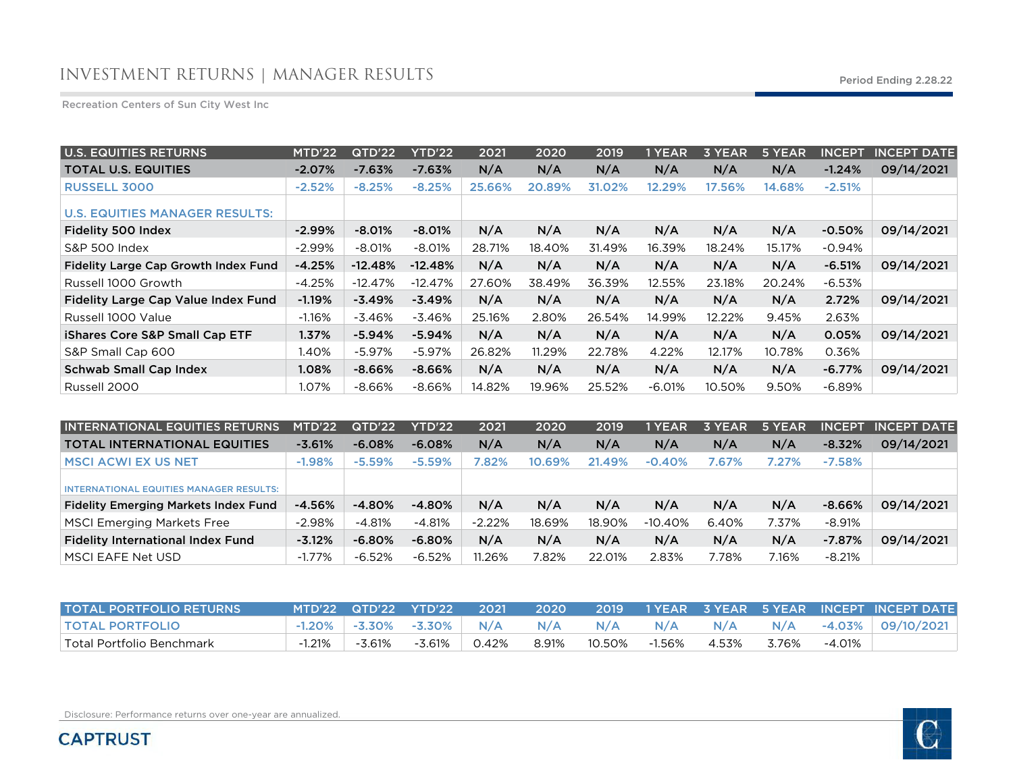## INVESTMENT RETURNS | MANAGER RESULTS Period Ending 2.28.22

Recreation Centers of Sun City West Inc

| <b>U.S. EQUITIES RETURNS</b>                | MTD'22   | QTD'22    | <b>YTD'22</b> | 2021   | 2020   | 2019   | 1 YEAR   | 3 YEAR | 5 YEAR | <b>INCEPT</b> | <b>INCEPT DATE</b> |
|---------------------------------------------|----------|-----------|---------------|--------|--------|--------|----------|--------|--------|---------------|--------------------|
| <b>TOTAL U.S. EQUITIES</b>                  | $-2.07%$ | $-7.63%$  | $-7.63%$      | N/A    | N/A    | N/A    | N/A      | N/A    | N/A    | $-1.24%$      | 09/14/2021         |
| <b>RUSSELL 3000</b>                         | $-2.52%$ | $-8.25%$  | $-8.25%$      | 25.66% | 20.89% | 31.02% | 12.29%   | 17.56% | 14.68% | $-2.51%$      |                    |
| <b>U.S. EQUITIES MANAGER RESULTS:</b>       |          |           |               |        |        |        |          |        |        |               |                    |
| Fidelity 500 Index                          | $-2.99%$ | $-8.01%$  | $-8.01%$      | N/A    | N/A    | N/A    | N/A      | N/A    | N/A    | $-0.50%$      | 09/14/2021         |
| S&P 500 Index                               | $-2.99%$ | $-8.01%$  | $-8.01%$      | 28.71% | 18.40% | 31.49% | 16.39%   | 18.24% | 15.17% | $-0.94%$      |                    |
| <b>Fidelity Large Cap Growth Index Fund</b> | $-4.25%$ | $-12.48%$ | $-12.48%$     | N/A    | N/A    | N/A    | N/A      | N/A    | N/A    | $-6.51%$      | 09/14/2021         |
| Russell 1000 Growth                         | $-4.25%$ | $-12.47%$ | $-12.47%$     | 27.60% | 38.49% | 36.39% | 12.55%   | 23.18% | 20.24% | -6.53%        |                    |
| Fidelity Large Cap Value Index Fund         | $-1.19%$ | $-3.49%$  | $-3.49%$      | N/A    | N/A    | N/A    | N/A      | N/A    | N/A    | 2.72%         | 09/14/2021         |
| Russell 1000 Value                          | $-1.16%$ | $-3.46%$  | $-3.46%$      | 25.16% | 2.80%  | 26.54% | 14.99%   | 12.22% | 9.45%  | 2.63%         |                    |
| <b>iShares Core S&amp;P Small Cap ETF</b>   | 1.37%    | $-5.94%$  | $-5.94%$      | N/A    | N/A    | N/A    | N/A      | N/A    | N/A    | 0.05%         | 09/14/2021         |
| S&P Small Cap 600                           | 1.40%    | $-5.97%$  | $-5.97\%$     | 26.82% | 11.29% | 22.78% | 4.22%    | 12.17% | 10.78% | 0.36%         |                    |
| <b>Schwab Small Cap Index</b>               | 1.08%    | $-8.66%$  | $-8.66%$      | N/A    | N/A    | N/A    | N/A      | N/A    | N/A    | $-6.77%$      | 09/14/2021         |
| Russell 2000                                | 1.07%    | $-8.66%$  | $-8.66%$      | 14.82% | 19.96% | 25.52% | $-6.01%$ | 10.50% | 9.50%  | -6.89%        |                    |

| <b>INTERNATIONAL EQUITIES RETURNS</b>          | MTD'22    | QTD'22    | YTD'22    | 2021     | 2020   | 2019   | 1 YEAR    | 3 YEAR | 5 YEAR | <b>INCEPT</b> | <b>INCEPT DATE</b> |
|------------------------------------------------|-----------|-----------|-----------|----------|--------|--------|-----------|--------|--------|---------------|--------------------|
| <b>TOTAL INTERNATIONAL EQUITIES</b>            | $-3.61%$  | $-6.08\%$ | $-6.08%$  | N/A      | N/A    | N/A    | N/A       | N/A    | N/A    | $-8.32%$      | 09/14/2021         |
| <b>MSCI ACWI EX US NET</b>                     | $-1.98\%$ | $-5.59\%$ | $-5.59%$  | 7.82%    | 10.69% | 21.49% | $-0.40%$  | 7.67%  | 7.27%  | $-7.58\%$     |                    |
| <b>INTERNATIONAL EQUITIES MANAGER RESULTS:</b> |           |           |           |          |        |        |           |        |        |               |                    |
| <b>Fidelity Emerging Markets Index Fund</b>    | $-4.56%$  | $-4.80%$  | -4.80%    | N/A      | N/A    | N/A    | N/A       | N/A    | N/A    | $-8.66%$      | 09/14/2021         |
| <b>MSCI Emerging Markets Free</b>              | $-2.98\%$ | -4.81%    | $-4.81%$  | $-2.22%$ | 18.69% | 18.90% | $-10.40%$ | 6.40%  | 7.37%  | $-8.91%$      |                    |
| <b>Fidelity International Index Fund</b>       | $-3.12%$  | $-6.80\%$ | $-6.80%$  | N/A      | N/A    | N/A    | N/A       | N/A    | N/A    | $-7.87%$      | 09/14/2021         |
| MSCI EAFE Net USD                              | $-1.77%$  | $-6.52%$  | $-6.52\%$ | 11.26%   | 7.82%  | 22.01% | 2.83%     | 7.78%  | 7.16%  | $-8.21%$      |                    |

| <b>TOTAL PORTFOLIO RETURNS</b> |        | MTD'22 QTD'22 YTD'22              |           | 2021  |       |        |        |       |       |        | L 2020 - 2019 - 1 YEAR - 3 YEAR - 5 YEAR - INCEPT INCEPT DATE I |
|--------------------------------|--------|-----------------------------------|-----------|-------|-------|--------|--------|-------|-------|--------|-----------------------------------------------------------------|
| <b>TOTAL PORTFOLIO</b>         |        | $-1.20\%$ $-3.30\%$ $-3.30\%$ N/A |           |       | N/A   | N/A    | N/A    | N/A   |       |        | N/A -4.03% 09/10/2021                                           |
| Total Portfolio Benchmark      | -1.21% | $-3.61\%$                         | $-3.61\%$ | 0.42% | 8.91% | 10.50% | -1.56% | 4.53% | 3.76% | -4.01% |                                                                 |